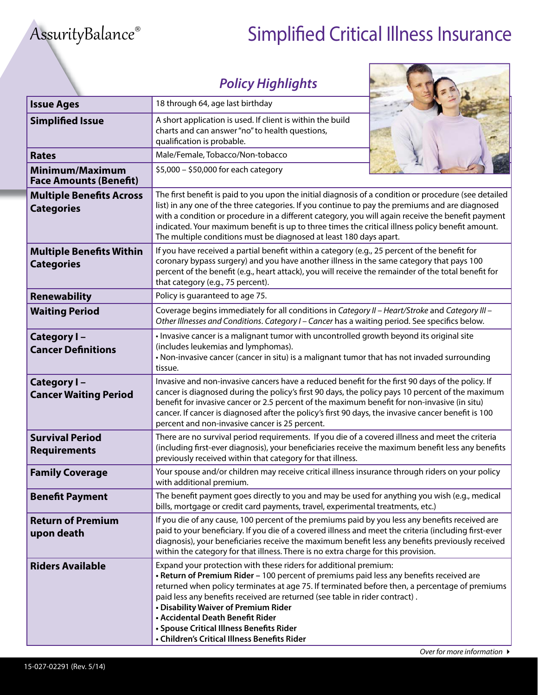## AssurityBalance® Simplified Critical Illness Insurance

**CONTRACTOR** 

٦

Г

|                                                      | <b>Policy Highlights</b>                                                                                                                                                                                                                                                                                                                                                                                                                                                                                             |  |  |
|------------------------------------------------------|----------------------------------------------------------------------------------------------------------------------------------------------------------------------------------------------------------------------------------------------------------------------------------------------------------------------------------------------------------------------------------------------------------------------------------------------------------------------------------------------------------------------|--|--|
| <b>Issue Ages</b>                                    | 18 through 64, age last birthday                                                                                                                                                                                                                                                                                                                                                                                                                                                                                     |  |  |
| <b>Simplified Issue</b>                              | A short application is used. If client is within the build<br>charts and can answer "no" to health questions,<br>qualification is probable.                                                                                                                                                                                                                                                                                                                                                                          |  |  |
| <b>Rates</b>                                         | Male/Female, Tobacco/Non-tobacco                                                                                                                                                                                                                                                                                                                                                                                                                                                                                     |  |  |
| Minimum/Maximum<br><b>Face Amounts (Benefit)</b>     | \$5,000 - \$50,000 for each category                                                                                                                                                                                                                                                                                                                                                                                                                                                                                 |  |  |
| <b>Multiple Benefits Across</b><br><b>Categories</b> | The first benefit is paid to you upon the initial diagnosis of a condition or procedure (see detailed<br>list) in any one of the three categories. If you continue to pay the premiums and are diagnosed<br>with a condition or procedure in a different category, you will again receive the benefit payment<br>indicated. Your maximum benefit is up to three times the critical illness policy benefit amount.<br>The multiple conditions must be diagnosed at least 180 days apart.                              |  |  |
| <b>Multiple Benefits Within</b><br><b>Categories</b> | If you have received a partial benefit within a category (e.g., 25 percent of the benefit for<br>coronary bypass surgery) and you have another illness in the same category that pays 100<br>percent of the benefit (e.g., heart attack), you will receive the remainder of the total benefit for<br>that category (e.g., 75 percent).                                                                                                                                                                               |  |  |
| <b>Renewability</b>                                  | Policy is guaranteed to age 75.                                                                                                                                                                                                                                                                                                                                                                                                                                                                                      |  |  |
| <b>Waiting Period</b>                                | Coverage begins immediately for all conditions in Category II - Heart/Stroke and Category III -<br>Other Illnesses and Conditions. Category I - Cancer has a waiting period. See specifics below.                                                                                                                                                                                                                                                                                                                    |  |  |
| Category I-<br><b>Cancer Definitions</b>             | • Invasive cancer is a malignant tumor with uncontrolled growth beyond its original site<br>(includes leukemias and lymphomas).<br>• Non-invasive cancer (cancer in situ) is a malignant tumor that has not invaded surrounding<br>tissue.                                                                                                                                                                                                                                                                           |  |  |
| Category I-<br><b>Cancer Waiting Period</b>          | Invasive and non-invasive cancers have a reduced benefit for the first 90 days of the policy. If<br>cancer is diagnosed during the policy's first 90 days, the policy pays 10 percent of the maximum<br>benefit for invasive cancer or 2.5 percent of the maximum benefit for non-invasive (in situ)<br>cancer. If cancer is diagnosed after the policy's first 90 days, the invasive cancer benefit is 100<br>percent and non-invasive cancer is 25 percent.                                                        |  |  |
| <b>Survival Period</b><br><b>Requirements</b>        | There are no survival period requirements. If you die of a covered illness and meet the criteria<br>(including first-ever diagnosis), your beneficiaries receive the maximum benefit less any benefits<br>previously received within that category for that illness.                                                                                                                                                                                                                                                 |  |  |
| <b>Family Coverage</b>                               | Your spouse and/or children may receive critical illness insurance through riders on your policy<br>with additional premium.                                                                                                                                                                                                                                                                                                                                                                                         |  |  |
| <b>Benefit Payment</b>                               | The benefit payment goes directly to you and may be used for anything you wish (e.g., medical<br>bills, mortgage or credit card payments, travel, experimental treatments, etc.)                                                                                                                                                                                                                                                                                                                                     |  |  |
| <b>Return of Premium</b><br>upon death               | If you die of any cause, 100 percent of the premiums paid by you less any benefits received are<br>paid to your beneficiary. If you die of a covered illness and meet the criteria (including first-ever<br>diagnosis), your beneficiaries receive the maximum benefit less any benefits previously received<br>within the category for that illness. There is no extra charge for this provision.                                                                                                                   |  |  |
| <b>Riders Available</b>                              | Expand your protection with these riders for additional premium:<br>. Return of Premium Rider - 100 percent of premiums paid less any benefits received are<br>returned when policy terminates at age 75. If terminated before then, a percentage of premiums<br>paid less any benefits received are returned (see table in rider contract).<br>• Disability Waiver of Premium Rider<br>• Accidental Death Benefit Rider<br>• Spouse Critical Illness Benefits Rider<br>• Children's Critical Illness Benefits Rider |  |  |